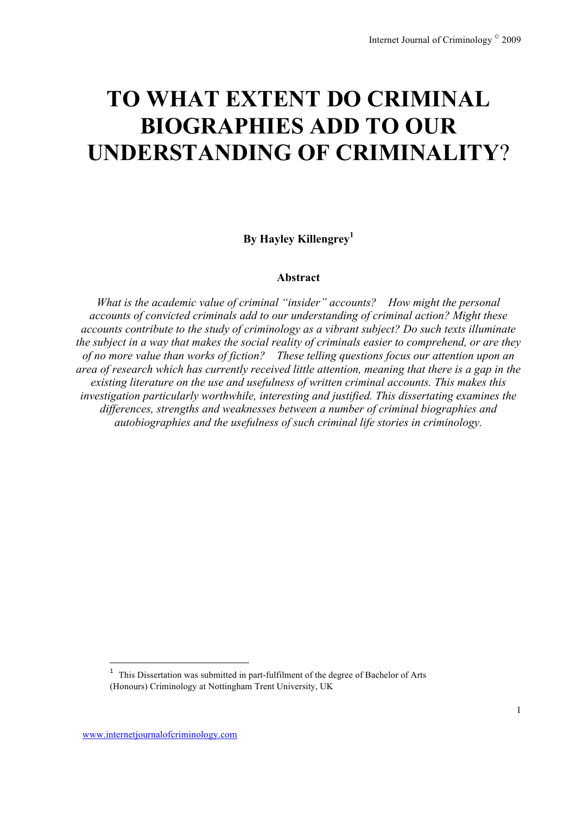# **TO WHAT EXTENT DO CRIMINAL BIOGRAPHIES ADD TO OUR UNDERSTANDING OF CRIMINALITY**?

**By Hayley Killengrey<sup>1</sup>**

#### **Abstract**

*What is the academic value of criminal "insider" accounts? How might the personal accounts of convicted criminals add to our understanding of criminal action? Might these accounts contribute to the study of criminology as a vibrant subject? Do such texts illuminate the subject in a way that makes the social reality of criminals easier to comprehend, or are they of no more value than works of fiction? These telling questions focus our attention upon an area of research which has currently received little attention, meaning that there is a gap in the existing literature on the use and usefulness of written criminal accounts. This makes this investigation particularly worthwhile, interesting and justified. This dissertating examines the differences, strengths and weaknesses between a number of criminal biographies and autobiographies and the usefulness of such criminal life stories in criminology.*

!!!!!!!!!!!!!!!!!!!!!!!!!!!!!!!!!!!!!!!!!!!!!!!!!!!!!!!!!!!!

<sup>&</sup>lt;sup>1</sup> This Dissertation was submitted in part-fulfilment of the degree of Bachelor of Arts (Honours) Criminology at Nottingham Trent University, UK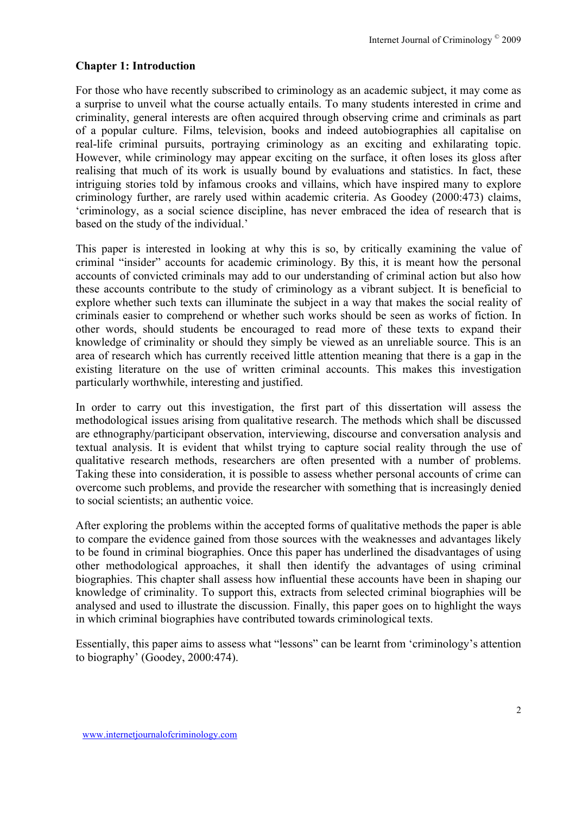#### **Chapter 1: Introduction**

For those who have recently subscribed to criminology as an academic subject, it may come as a surprise to unveil what the course actually entails. To many students interested in crime and criminality, general interests are often acquired through observing crime and criminals as part of a popular culture. Films, television, books and indeed autobiographies all capitalise on real-life criminal pursuits, portraying criminology as an exciting and exhilarating topic. However, while criminology may appear exciting on the surface, it often loses its gloss after realising that much of its work is usually bound by evaluations and statistics. In fact, these intriguing stories told by infamous crooks and villains, which have inspired many to explore criminology further, are rarely used within academic criteria. As Goodey (2000:473) claims, 'criminology, as a social science discipline, has never embraced the idea of research that is based on the study of the individual.'

This paper is interested in looking at why this is so, by critically examining the value of criminal "insider" accounts for academic criminology. By this, it is meant how the personal accounts of convicted criminals may add to our understanding of criminal action but also how these accounts contribute to the study of criminology as a vibrant subject. It is beneficial to explore whether such texts can illuminate the subject in a way that makes the social reality of criminals easier to comprehend or whether such works should be seen as works of fiction. In other words, should students be encouraged to read more of these texts to expand their knowledge of criminality or should they simply be viewed as an unreliable source. This is an area of research which has currently received little attention meaning that there is a gap in the existing literature on the use of written criminal accounts. This makes this investigation particularly worthwhile, interesting and justified.

In order to carry out this investigation, the first part of this dissertation will assess the methodological issues arising from qualitative research. The methods which shall be discussed are ethnography/participant observation, interviewing, discourse and conversation analysis and textual analysis. It is evident that whilst trying to capture social reality through the use of qualitative research methods, researchers are often presented with a number of problems. Taking these into consideration, it is possible to assess whether personal accounts of crime can overcome such problems, and provide the researcher with something that is increasingly denied to social scientists; an authentic voice.

After exploring the problems within the accepted forms of qualitative methods the paper is able to compare the evidence gained from those sources with the weaknesses and advantages likely to be found in criminal biographies. Once this paper has underlined the disadvantages of using other methodological approaches, it shall then identify the advantages of using criminal biographies. This chapter shall assess how influential these accounts have been in shaping our knowledge of criminality. To support this, extracts from selected criminal biographies will be analysed and used to illustrate the discussion. Finally, this paper goes on to highlight the ways in which criminal biographies have contributed towards criminological texts.

Essentially, this paper aims to assess what "lessons" can be learnt from 'criminology's attention to biography' (Goodey, 2000:474).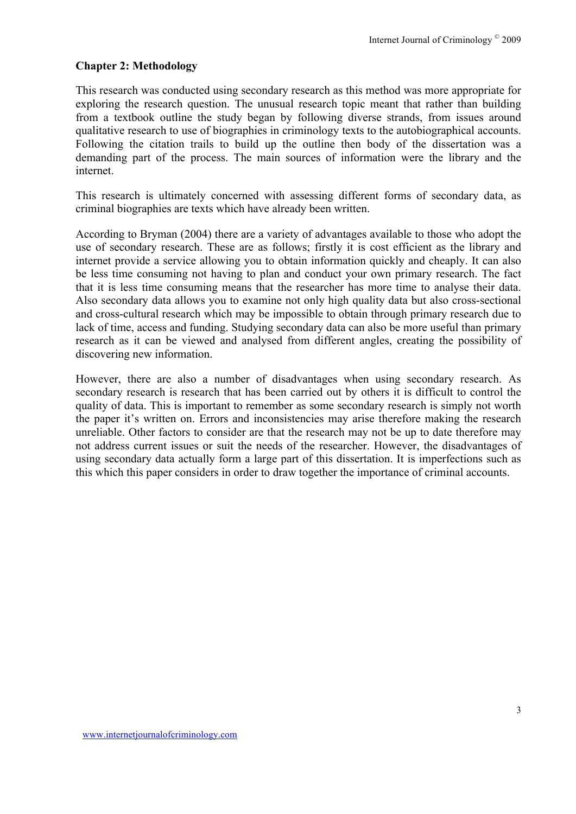#### **Chapter 2: Methodology**

This research was conducted using secondary research as this method was more appropriate for exploring the research question. The unusual research topic meant that rather than building from a textbook outline the study began by following diverse strands, from issues around qualitative research to use of biographies in criminology texts to the autobiographical accounts. Following the citation trails to build up the outline then body of the dissertation was a demanding part of the process. The main sources of information were the library and the internet.

This research is ultimately concerned with assessing different forms of secondary data, as criminal biographies are texts which have already been written.

According to Bryman (2004) there are a variety of advantages available to those who adopt the use of secondary research. These are as follows; firstly it is cost efficient as the library and internet provide a service allowing you to obtain information quickly and cheaply. It can also be less time consuming not having to plan and conduct your own primary research. The fact that it is less time consuming means that the researcher has more time to analyse their data. Also secondary data allows you to examine not only high quality data but also cross-sectional and cross-cultural research which may be impossible to obtain through primary research due to lack of time, access and funding. Studying secondary data can also be more useful than primary research as it can be viewed and analysed from different angles, creating the possibility of discovering new information.

However, there are also a number of disadvantages when using secondary research. As secondary research is research that has been carried out by others it is difficult to control the quality of data. This is important to remember as some secondary research is simply not worth the paper it's written on. Errors and inconsistencies may arise therefore making the research unreliable. Other factors to consider are that the research may not be up to date therefore may not address current issues or suit the needs of the researcher. However, the disadvantages of using secondary data actually form a large part of this dissertation. It is imperfections such as this which this paper considers in order to draw together the importance of criminal accounts.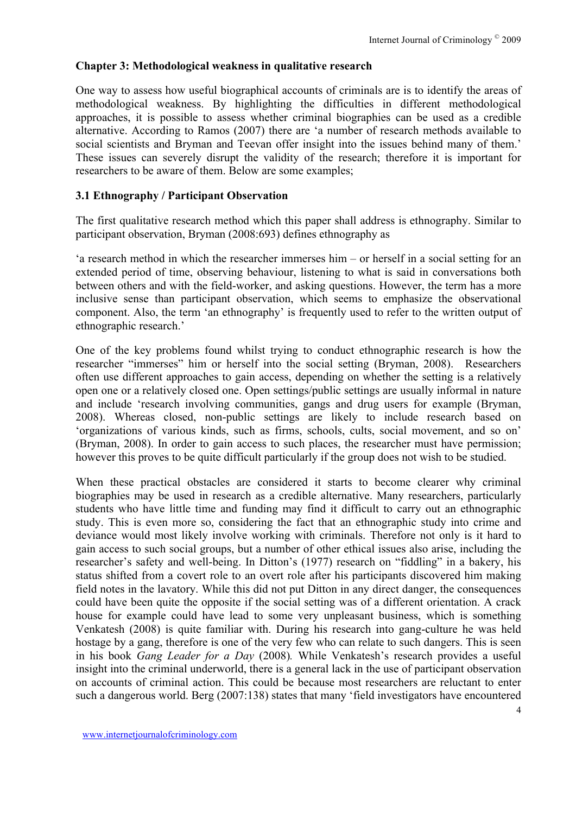### **Chapter 3: Methodological weakness in qualitative research**

One way to assess how useful biographical accounts of criminals are is to identify the areas of methodological weakness. By highlighting the difficulties in different methodological approaches, it is possible to assess whether criminal biographies can be used as a credible alternative. According to Ramos (2007) there are 'a number of research methods available to social scientists and Bryman and Teevan offer insight into the issues behind many of them.' These issues can severely disrupt the validity of the research; therefore it is important for researchers to be aware of them. Below are some examples;

#### **3.1 Ethnography / Participant Observation**

The first qualitative research method which this paper shall address is ethnography. Similar to participant observation, Bryman (2008:693) defines ethnography as

'a research method in which the researcher immerses him – or herself in a social setting for an extended period of time, observing behaviour, listening to what is said in conversations both between others and with the field-worker, and asking questions. However, the term has a more inclusive sense than participant observation, which seems to emphasize the observational component. Also, the term 'an ethnography' is frequently used to refer to the written output of ethnographic research.'

One of the key problems found whilst trying to conduct ethnographic research is how the researcher "immerses" him or herself into the social setting (Bryman, 2008). Researchers often use different approaches to gain access, depending on whether the setting is a relatively open one or a relatively closed one. Open settings/public settings are usually informal in nature and include 'research involving communities, gangs and drug users for example (Bryman, 2008). Whereas closed, non-public settings are likely to include research based on 'organizations of various kinds, such as firms, schools, cults, social movement, and so on' (Bryman, 2008). In order to gain access to such places, the researcher must have permission; however this proves to be quite difficult particularly if the group does not wish to be studied.

When these practical obstacles are considered it starts to become clearer why criminal biographies may be used in research as a credible alternative. Many researchers, particularly students who have little time and funding may find it difficult to carry out an ethnographic study. This is even more so, considering the fact that an ethnographic study into crime and deviance would most likely involve working with criminals. Therefore not only is it hard to gain access to such social groups, but a number of other ethical issues also arise, including the researcher's safety and well-being. In Ditton's (1977) research on "fiddling" in a bakery, his status shifted from a covert role to an overt role after his participants discovered him making field notes in the lavatory. While this did not put Ditton in any direct danger, the consequences could have been quite the opposite if the social setting was of a different orientation. A crack house for example could have lead to some very unpleasant business, which is something Venkatesh (2008) is quite familiar with. During his research into gang-culture he was held hostage by a gang, therefore is one of the very few who can relate to such dangers. This is seen in his book *Gang Leader for a Day* (2008)*.* While Venkatesh's research provides a useful insight into the criminal underworld, there is a general lack in the use of participant observation on accounts of criminal action. This could be because most researchers are reluctant to enter such a dangerous world. Berg (2007:138) states that many 'field investigators have encountered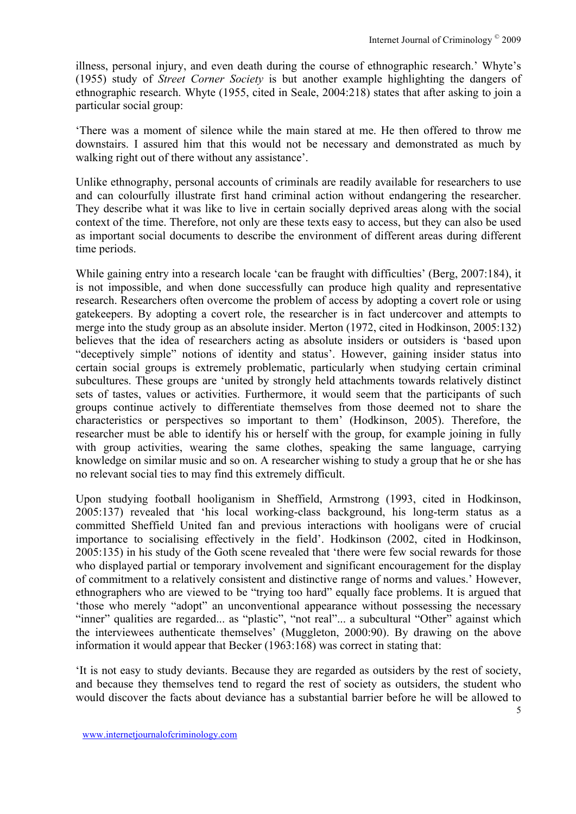illness, personal injury, and even death during the course of ethnographic research.' Whyte's (1955) study of *Street Corner Society* is but another example highlighting the dangers of ethnographic research. Whyte (1955, cited in Seale, 2004:218) states that after asking to join a particular social group:

'There was a moment of silence while the main stared at me. He then offered to throw me downstairs. I assured him that this would not be necessary and demonstrated as much by walking right out of there without any assistance'.

Unlike ethnography, personal accounts of criminals are readily available for researchers to use and can colourfully illustrate first hand criminal action without endangering the researcher. They describe what it was like to live in certain socially deprived areas along with the social context of the time. Therefore, not only are these texts easy to access, but they can also be used as important social documents to describe the environment of different areas during different time periods.

While gaining entry into a research locale 'can be fraught with difficulties' (Berg, 2007:184), it is not impossible, and when done successfully can produce high quality and representative research. Researchers often overcome the problem of access by adopting a covert role or using gatekeepers. By adopting a covert role, the researcher is in fact undercover and attempts to merge into the study group as an absolute insider. Merton (1972, cited in Hodkinson, 2005:132) believes that the idea of researchers acting as absolute insiders or outsiders is 'based upon "deceptively simple" notions of identity and status'. However, gaining insider status into certain social groups is extremely problematic, particularly when studying certain criminal subcultures. These groups are 'united by strongly held attachments towards relatively distinct sets of tastes, values or activities. Furthermore, it would seem that the participants of such groups continue actively to differentiate themselves from those deemed not to share the characteristics or perspectives so important to them' (Hodkinson, 2005). Therefore, the researcher must be able to identify his or herself with the group, for example joining in fully with group activities, wearing the same clothes, speaking the same language, carrying knowledge on similar music and so on. A researcher wishing to study a group that he or she has no relevant social ties to may find this extremely difficult.

Upon studying football hooliganism in Sheffield, Armstrong (1993, cited in Hodkinson, 2005:137) revealed that 'his local working-class background, his long-term status as a committed Sheffield United fan and previous interactions with hooligans were of crucial importance to socialising effectively in the field'. Hodkinson (2002, cited in Hodkinson, 2005:135) in his study of the Goth scene revealed that 'there were few social rewards for those who displayed partial or temporary involvement and significant encouragement for the display of commitment to a relatively consistent and distinctive range of norms and values.' However, ethnographers who are viewed to be "trying too hard" equally face problems. It is argued that 'those who merely "adopt" an unconventional appearance without possessing the necessary "inner" qualities are regarded... as "plastic", "not real"... a subcultural "Other" against which the interviewees authenticate themselves' (Muggleton, 2000:90). By drawing on the above information it would appear that Becker (1963:168) was correct in stating that:

'It is not easy to study deviants. Because they are regarded as outsiders by the rest of society, and because they themselves tend to regard the rest of society as outsiders, the student who would discover the facts about deviance has a substantial barrier before he will be allowed to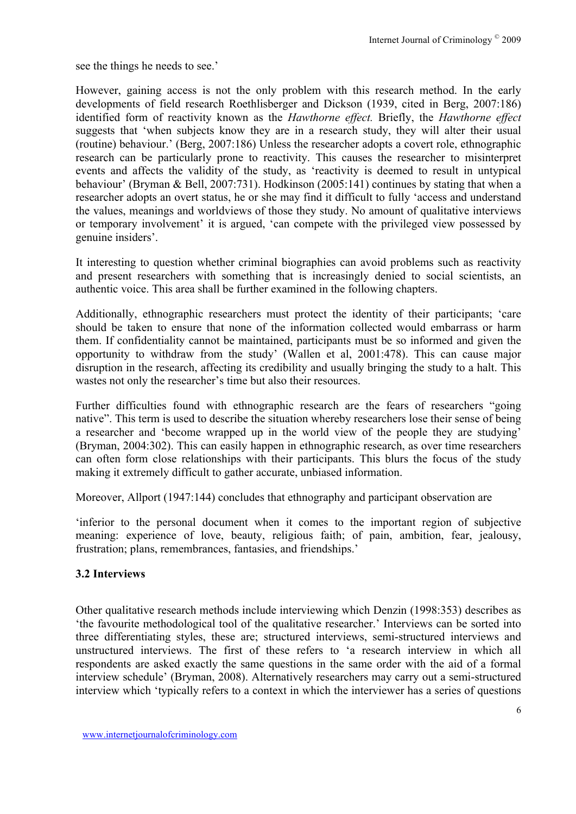see the things he needs to see.'

However, gaining access is not the only problem with this research method. In the early developments of field research Roethlisberger and Dickson (1939, cited in Berg, 2007:186) identified form of reactivity known as the *Hawthorne effect.* Briefly, the *Hawthorne effect* suggests that 'when subjects know they are in a research study, they will alter their usual (routine) behaviour.' (Berg, 2007:186) Unless the researcher adopts a covert role, ethnographic research can be particularly prone to reactivity. This causes the researcher to misinterpret events and affects the validity of the study, as 'reactivity is deemed to result in untypical behaviour' (Bryman & Bell, 2007:731). Hodkinson (2005:141) continues by stating that when a researcher adopts an overt status, he or she may find it difficult to fully 'access and understand the values, meanings and worldviews of those they study. No amount of qualitative interviews or temporary involvement' it is argued, 'can compete with the privileged view possessed by genuine insiders'.

It interesting to question whether criminal biographies can avoid problems such as reactivity and present researchers with something that is increasingly denied to social scientists, an authentic voice. This area shall be further examined in the following chapters.

Additionally, ethnographic researchers must protect the identity of their participants; 'care should be taken to ensure that none of the information collected would embarrass or harm them. If confidentiality cannot be maintained, participants must be so informed and given the opportunity to withdraw from the study' (Wallen et al, 2001:478). This can cause major disruption in the research, affecting its credibility and usually bringing the study to a halt. This wastes not only the researcher's time but also their resources.

Further difficulties found with ethnographic research are the fears of researchers "going native". This term is used to describe the situation whereby researchers lose their sense of being a researcher and 'become wrapped up in the world view of the people they are studying' (Bryman, 2004:302). This can easily happen in ethnographic research, as over time researchers can often form close relationships with their participants. This blurs the focus of the study making it extremely difficult to gather accurate, unbiased information.

Moreover, Allport (1947:144) concludes that ethnography and participant observation are

'inferior to the personal document when it comes to the important region of subjective meaning: experience of love, beauty, religious faith; of pain, ambition, fear, jealousy, frustration; plans, remembrances, fantasies, and friendships.'

## **3.2 Interviews**

Other qualitative research methods include interviewing which Denzin (1998:353) describes as 'the favourite methodological tool of the qualitative researcher.' Interviews can be sorted into three differentiating styles, these are; structured interviews, semi-structured interviews and unstructured interviews. The first of these refers to 'a research interview in which all respondents are asked exactly the same questions in the same order with the aid of a formal interview schedule' (Bryman, 2008). Alternatively researchers may carry out a semi-structured interview which 'typically refers to a context in which the interviewer has a series of questions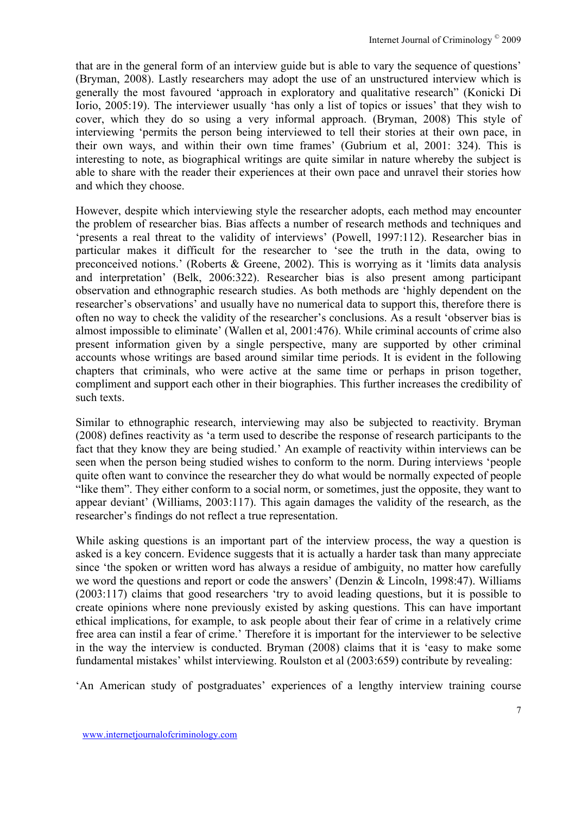that are in the general form of an interview guide but is able to vary the sequence of questions' (Bryman, 2008). Lastly researchers may adopt the use of an unstructured interview which is generally the most favoured 'approach in exploratory and qualitative research" (Konicki Di Iorio, 2005:19). The interviewer usually 'has only a list of topics or issues' that they wish to cover, which they do so using a very informal approach. (Bryman, 2008) This style of interviewing 'permits the person being interviewed to tell their stories at their own pace, in their own ways, and within their own time frames' (Gubrium et al, 2001: 324). This is interesting to note, as biographical writings are quite similar in nature whereby the subject is able to share with the reader their experiences at their own pace and unravel their stories how and which they choose.

However, despite which interviewing style the researcher adopts, each method may encounter the problem of researcher bias. Bias affects a number of research methods and techniques and 'presents a real threat to the validity of interviews' (Powell, 1997:112). Researcher bias in particular makes it difficult for the researcher to 'see the truth in the data, owing to preconceived notions.' (Roberts & Greene, 2002). This is worrying as it 'limits data analysis and interpretation' (Belk, 2006:322). Researcher bias is also present among participant observation and ethnographic research studies. As both methods are 'highly dependent on the researcher's observations' and usually have no numerical data to support this, therefore there is often no way to check the validity of the researcher's conclusions. As a result 'observer bias is almost impossible to eliminate' (Wallen et al, 2001:476). While criminal accounts of crime also present information given by a single perspective, many are supported by other criminal accounts whose writings are based around similar time periods. It is evident in the following chapters that criminals, who were active at the same time or perhaps in prison together, compliment and support each other in their biographies. This further increases the credibility of such texts.

Similar to ethnographic research, interviewing may also be subjected to reactivity. Bryman (2008) defines reactivity as 'a term used to describe the response of research participants to the fact that they know they are being studied.' An example of reactivity within interviews can be seen when the person being studied wishes to conform to the norm. During interviews 'people quite often want to convince the researcher they do what would be normally expected of people "like them". They either conform to a social norm, or sometimes, just the opposite, they want to appear deviant' (Williams, 2003:117). This again damages the validity of the research, as the researcher's findings do not reflect a true representation.

While asking questions is an important part of the interview process, the way a question is asked is a key concern. Evidence suggests that it is actually a harder task than many appreciate since 'the spoken or written word has always a residue of ambiguity, no matter how carefully we word the questions and report or code the answers' (Denzin & Lincoln, 1998:47). Williams (2003:117) claims that good researchers 'try to avoid leading questions, but it is possible to create opinions where none previously existed by asking questions. This can have important ethical implications, for example, to ask people about their fear of crime in a relatively crime free area can instil a fear of crime.' Therefore it is important for the interviewer to be selective in the way the interview is conducted. Bryman (2008) claims that it is 'easy to make some fundamental mistakes' whilst interviewing. Roulston et al (2003:659) contribute by revealing:

'An American study of postgraduates' experiences of a lengthy interview training course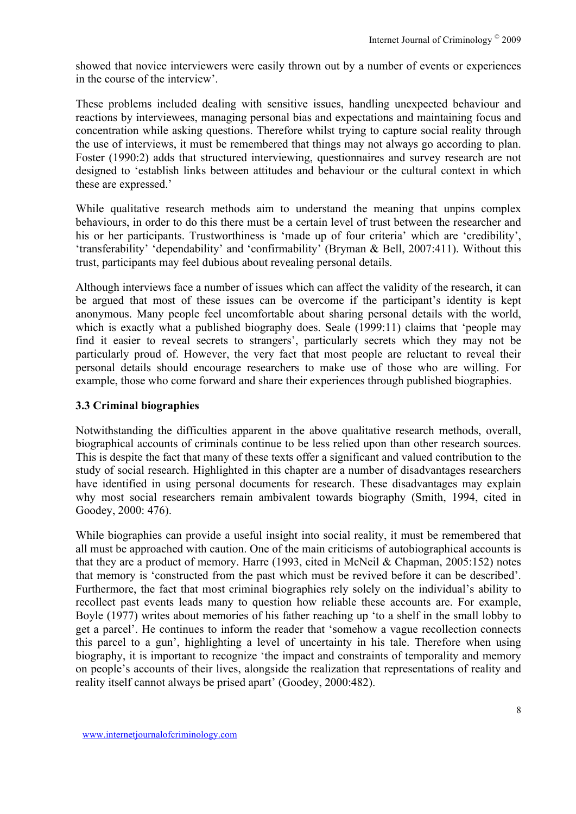showed that novice interviewers were easily thrown out by a number of events or experiences in the course of the interview'.

These problems included dealing with sensitive issues, handling unexpected behaviour and reactions by interviewees, managing personal bias and expectations and maintaining focus and concentration while asking questions. Therefore whilst trying to capture social reality through the use of interviews, it must be remembered that things may not always go according to plan. Foster (1990:2) adds that structured interviewing, questionnaires and survey research are not designed to 'establish links between attitudes and behaviour or the cultural context in which these are expressed.'

While qualitative research methods aim to understand the meaning that unpins complex behaviours, in order to do this there must be a certain level of trust between the researcher and his or her participants. Trustworthiness is 'made up of four criteria' which are 'credibility', 'transferability' 'dependability' and 'confirmability' (Bryman & Bell, 2007:411). Without this trust, participants may feel dubious about revealing personal details.

Although interviews face a number of issues which can affect the validity of the research, it can be argued that most of these issues can be overcome if the participant's identity is kept anonymous. Many people feel uncomfortable about sharing personal details with the world, which is exactly what a published biography does. Seale (1999:11) claims that 'people may find it easier to reveal secrets to strangers', particularly secrets which they may not be particularly proud of. However, the very fact that most people are reluctant to reveal their personal details should encourage researchers to make use of those who are willing. For example, those who come forward and share their experiences through published biographies.

### **3.3 Criminal biographies**

Notwithstanding the difficulties apparent in the above qualitative research methods, overall, biographical accounts of criminals continue to be less relied upon than other research sources. This is despite the fact that many of these texts offer a significant and valued contribution to the study of social research. Highlighted in this chapter are a number of disadvantages researchers have identified in using personal documents for research. These disadvantages may explain why most social researchers remain ambivalent towards biography (Smith, 1994, cited in Goodey, 2000: 476).

While biographies can provide a useful insight into social reality, it must be remembered that all must be approached with caution. One of the main criticisms of autobiographical accounts is that they are a product of memory. Harre (1993, cited in McNeil & Chapman, 2005:152) notes that memory is 'constructed from the past which must be revived before it can be described'. Furthermore, the fact that most criminal biographies rely solely on the individual's ability to recollect past events leads many to question how reliable these accounts are. For example, Boyle (1977) writes about memories of his father reaching up 'to a shelf in the small lobby to get a parcel'. He continues to inform the reader that 'somehow a vague recollection connects this parcel to a gun', highlighting a level of uncertainty in his tale. Therefore when using biography, it is important to recognize 'the impact and constraints of temporality and memory on people's accounts of their lives, alongside the realization that representations of reality and reality itself cannot always be prised apart' (Goodey, 2000:482).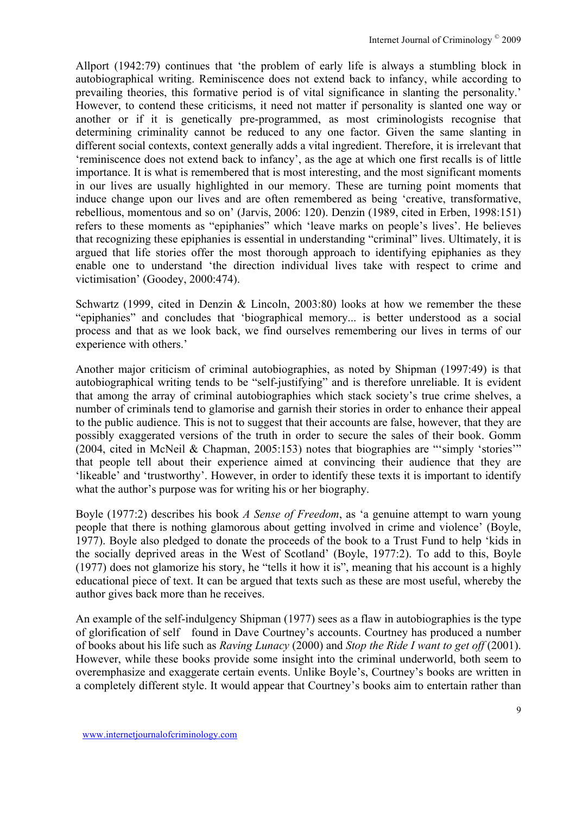Allport (1942:79) continues that 'the problem of early life is always a stumbling block in autobiographical writing. Reminiscence does not extend back to infancy, while according to prevailing theories, this formative period is of vital significance in slanting the personality.' However, to contend these criticisms, it need not matter if personality is slanted one way or another or if it is genetically pre-programmed, as most criminologists recognise that determining criminality cannot be reduced to any one factor. Given the same slanting in different social contexts, context generally adds a vital ingredient. Therefore, it is irrelevant that 'reminiscence does not extend back to infancy', as the age at which one first recalls is of little importance. It is what is remembered that is most interesting, and the most significant moments in our lives are usually highlighted in our memory. These are turning point moments that induce change upon our lives and are often remembered as being 'creative, transformative, rebellious, momentous and so on' (Jarvis, 2006: 120). Denzin (1989, cited in Erben, 1998:151) refers to these moments as "epiphanies" which 'leave marks on people's lives'. He believes that recognizing these epiphanies is essential in understanding "criminal" lives. Ultimately, it is argued that life stories offer the most thorough approach to identifying epiphanies as they enable one to understand 'the direction individual lives take with respect to crime and victimisation' (Goodey, 2000:474).

Schwartz (1999, cited in Denzin & Lincoln, 2003:80) looks at how we remember the these "epiphanies" and concludes that 'biographical memory... is better understood as a social process and that as we look back, we find ourselves remembering our lives in terms of our experience with others.'

Another major criticism of criminal autobiographies, as noted by Shipman (1997:49) is that autobiographical writing tends to be "self-justifying" and is therefore unreliable. It is evident that among the array of criminal autobiographies which stack society's true crime shelves, a number of criminals tend to glamorise and garnish their stories in order to enhance their appeal to the public audience. This is not to suggest that their accounts are false, however, that they are possibly exaggerated versions of the truth in order to secure the sales of their book. Gomm (2004, cited in McNeil & Chapman, 2005:153) notes that biographies are "'simply 'stories'" that people tell about their experience aimed at convincing their audience that they are 'likeable' and 'trustworthy'. However, in order to identify these texts it is important to identify what the author's purpose was for writing his or her biography.

Boyle (1977:2) describes his book *A Sense of Freedom*, as 'a genuine attempt to warn young people that there is nothing glamorous about getting involved in crime and violence' (Boyle, 1977). Boyle also pledged to donate the proceeds of the book to a Trust Fund to help 'kids in the socially deprived areas in the West of Scotland' (Boyle, 1977:2). To add to this, Boyle (1977) does not glamorize his story, he "tells it how it is", meaning that his account is a highly educational piece of text. It can be argued that texts such as these are most useful, whereby the author gives back more than he receives.

An example of the self-indulgency Shipman (1977) sees as a flaw in autobiographies is the type of glorification of self found in Dave Courtney's accounts. Courtney has produced a number of books about his life such as *Raving Lunacy* (2000) and *Stop the Ride I want to get off* (2001). However, while these books provide some insight into the criminal underworld, both seem to overemphasize and exaggerate certain events. Unlike Boyle's, Courtney's books are written in a completely different style. It would appear that Courtney's books aim to entertain rather than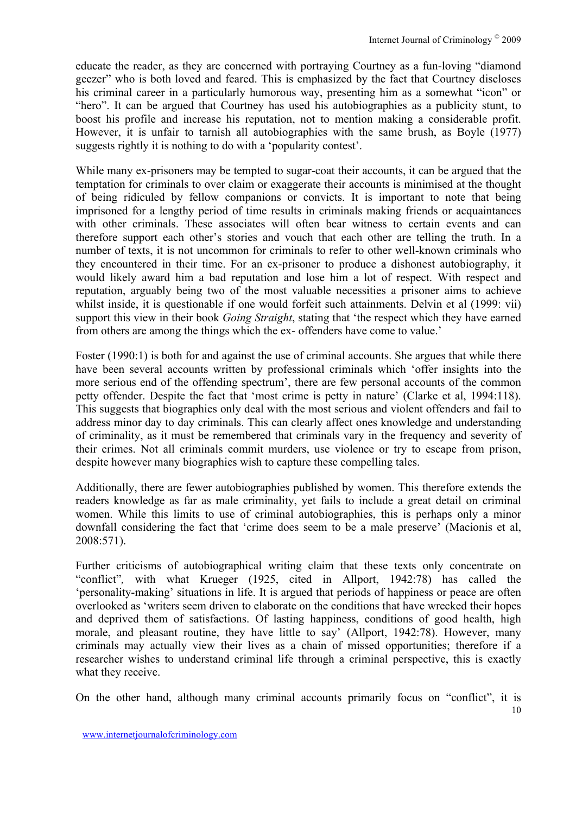educate the reader, as they are concerned with portraying Courtney as a fun-loving "diamond geezer" who is both loved and feared. This is emphasized by the fact that Courtney discloses his criminal career in a particularly humorous way, presenting him as a somewhat "icon" or "hero". It can be argued that Courtney has used his autobiographies as a publicity stunt, to boost his profile and increase his reputation, not to mention making a considerable profit. However, it is unfair to tarnish all autobiographies with the same brush, as Boyle (1977) suggests rightly it is nothing to do with a 'popularity contest'.

While many ex-prisoners may be tempted to sugar-coat their accounts, it can be argued that the temptation for criminals to over claim or exaggerate their accounts is minimised at the thought of being ridiculed by fellow companions or convicts. It is important to note that being imprisoned for a lengthy period of time results in criminals making friends or acquaintances with other criminals. These associates will often bear witness to certain events and can therefore support each other's stories and vouch that each other are telling the truth. In a number of texts, it is not uncommon for criminals to refer to other well-known criminals who they encountered in their time. For an ex-prisoner to produce a dishonest autobiography, it would likely award him a bad reputation and lose him a lot of respect. With respect and reputation, arguably being two of the most valuable necessities a prisoner aims to achieve whilst inside, it is questionable if one would forfeit such attainments. Delvin et al (1999: vii) support this view in their book *Going Straight*, stating that 'the respect which they have earned from others are among the things which the ex- offenders have come to value.'

Foster (1990:1) is both for and against the use of criminal accounts. She argues that while there have been several accounts written by professional criminals which 'offer insights into the more serious end of the offending spectrum', there are few personal accounts of the common petty offender. Despite the fact that 'most crime is petty in nature' (Clarke et al, 1994:118). This suggests that biographies only deal with the most serious and violent offenders and fail to address minor day to day criminals. This can clearly affect ones knowledge and understanding of criminality, as it must be remembered that criminals vary in the frequency and severity of their crimes. Not all criminals commit murders, use violence or try to escape from prison, despite however many biographies wish to capture these compelling tales.

Additionally, there are fewer autobiographies published by women. This therefore extends the readers knowledge as far as male criminality, yet fails to include a great detail on criminal women. While this limits to use of criminal autobiographies, this is perhaps only a minor downfall considering the fact that 'crime does seem to be a male preserve' (Macionis et al, 2008:571).

Further criticisms of autobiographical writing claim that these texts only concentrate on "conflict"*,* with what Krueger (1925, cited in Allport, 1942:78) has called the 'personality-making' situations in life. It is argued that periods of happiness or peace are often overlooked as 'writers seem driven to elaborate on the conditions that have wrecked their hopes and deprived them of satisfactions. Of lasting happiness, conditions of good health, high morale, and pleasant routine, they have little to say' (Allport, 1942:78). However, many criminals may actually view their lives as a chain of missed opportunities; therefore if a researcher wishes to understand criminal life through a criminal perspective, this is exactly what they receive.

On the other hand, although many criminal accounts primarily focus on "conflict", it is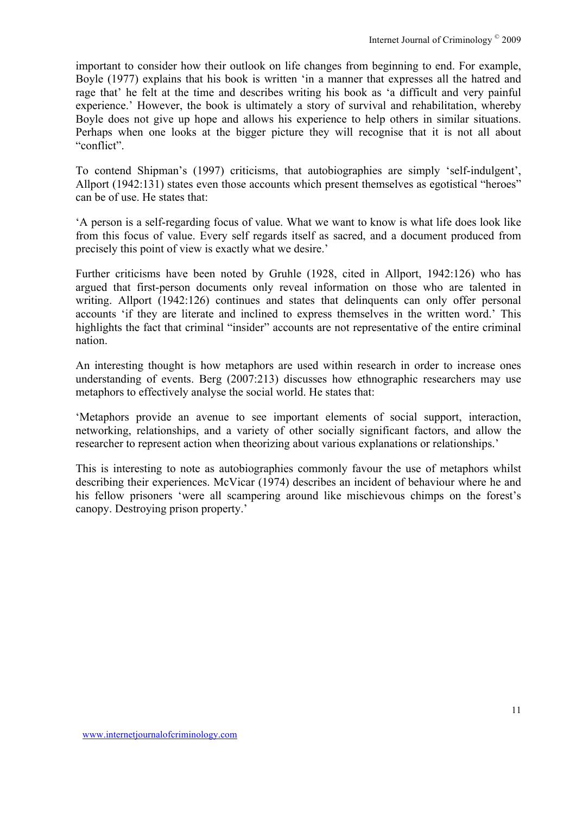important to consider how their outlook on life changes from beginning to end. For example, Boyle (1977) explains that his book is written 'in a manner that expresses all the hatred and rage that' he felt at the time and describes writing his book as 'a difficult and very painful experience.' However, the book is ultimately a story of survival and rehabilitation, whereby Boyle does not give up hope and allows his experience to help others in similar situations. Perhaps when one looks at the bigger picture they will recognise that it is not all about "conflict".

To contend Shipman's (1997) criticisms, that autobiographies are simply 'self-indulgent', Allport (1942:131) states even those accounts which present themselves as egotistical "heroes" can be of use. He states that:

'A person is a self-regarding focus of value. What we want to know is what life does look like from this focus of value. Every self regards itself as sacred, and a document produced from precisely this point of view is exactly what we desire.'

Further criticisms have been noted by Gruhle (1928, cited in Allport, 1942:126) who has argued that first-person documents only reveal information on those who are talented in writing. Allport (1942:126) continues and states that delinquents can only offer personal accounts 'if they are literate and inclined to express themselves in the written word.' This highlights the fact that criminal "insider" accounts are not representative of the entire criminal nation.

An interesting thought is how metaphors are used within research in order to increase ones understanding of events. Berg (2007:213) discusses how ethnographic researchers may use metaphors to effectively analyse the social world. He states that:

'Metaphors provide an avenue to see important elements of social support, interaction, networking, relationships, and a variety of other socially significant factors, and allow the researcher to represent action when theorizing about various explanations or relationships.'

This is interesting to note as autobiographies commonly favour the use of metaphors whilst describing their experiences. McVicar (1974) describes an incident of behaviour where he and his fellow prisoners 'were all scampering around like mischievous chimps on the forest's canopy. Destroying prison property.'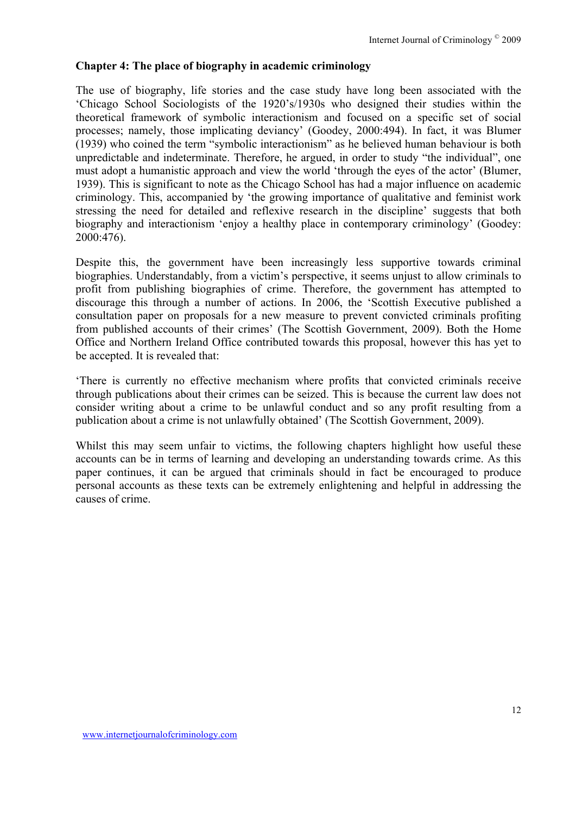#### **Chapter 4: The place of biography in academic criminology**

The use of biography, life stories and the case study have long been associated with the 'Chicago School Sociologists of the 1920's/1930s who designed their studies within the theoretical framework of symbolic interactionism and focused on a specific set of social processes; namely, those implicating deviancy' (Goodey, 2000:494). In fact, it was Blumer (1939) who coined the term "symbolic interactionism" as he believed human behaviour is both unpredictable and indeterminate. Therefore, he argued, in order to study "the individual", one must adopt a humanistic approach and view the world 'through the eyes of the actor' (Blumer, 1939). This is significant to note as the Chicago School has had a major influence on academic criminology. This, accompanied by 'the growing importance of qualitative and feminist work stressing the need for detailed and reflexive research in the discipline' suggests that both biography and interactionism 'enjoy a healthy place in contemporary criminology' (Goodey: 2000:476).

Despite this, the government have been increasingly less supportive towards criminal biographies. Understandably, from a victim's perspective, it seems unjust to allow criminals to profit from publishing biographies of crime. Therefore, the government has attempted to discourage this through a number of actions. In 2006, the 'Scottish Executive published a consultation paper on proposals for a new measure to prevent convicted criminals profiting from published accounts of their crimes' (The Scottish Government, 2009). Both the Home Office and Northern Ireland Office contributed towards this proposal, however this has yet to be accepted. It is revealed that:

'There is currently no effective mechanism where profits that convicted criminals receive through publications about their crimes can be seized. This is because the current law does not consider writing about a crime to be unlawful conduct and so any profit resulting from a publication about a crime is not unlawfully obtained' (The Scottish Government, 2009).

Whilst this may seem unfair to victims, the following chapters highlight how useful these accounts can be in terms of learning and developing an understanding towards crime. As this paper continues, it can be argued that criminals should in fact be encouraged to produce personal accounts as these texts can be extremely enlightening and helpful in addressing the causes of crime.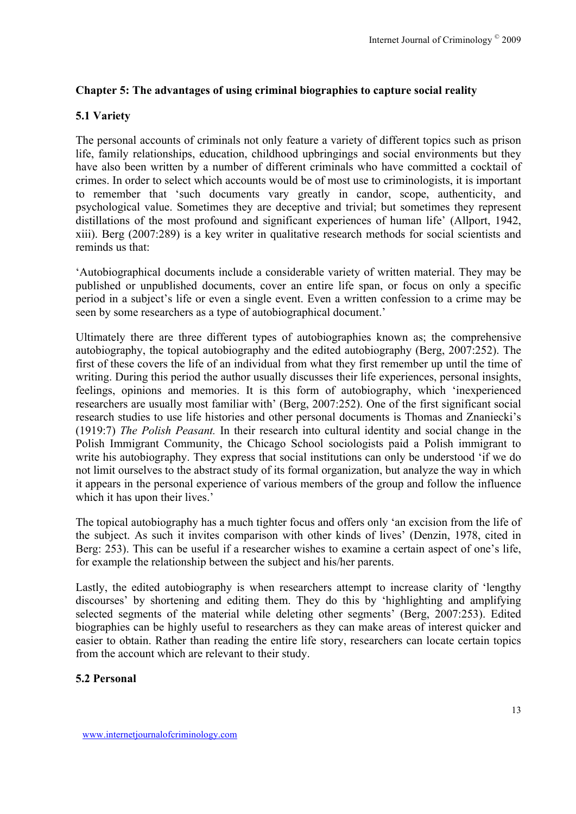### **Chapter 5: The advantages of using criminal biographies to capture social reality**

## **5.1 Variety**

The personal accounts of criminals not only feature a variety of different topics such as prison life, family relationships, education, childhood upbringings and social environments but they have also been written by a number of different criminals who have committed a cocktail of crimes. In order to select which accounts would be of most use to criminologists, it is important to remember that 'such documents vary greatly in candor, scope, authenticity, and psychological value. Sometimes they are deceptive and trivial; but sometimes they represent distillations of the most profound and significant experiences of human life' (Allport, 1942, xiii). Berg (2007:289) is a key writer in qualitative research methods for social scientists and reminds us that:

'Autobiographical documents include a considerable variety of written material. They may be published or unpublished documents, cover an entire life span, or focus on only a specific period in a subject's life or even a single event. Even a written confession to a crime may be seen by some researchers as a type of autobiographical document.'

Ultimately there are three different types of autobiographies known as; the comprehensive autobiography, the topical autobiography and the edited autobiography (Berg, 2007:252). The first of these covers the life of an individual from what they first remember up until the time of writing. During this period the author usually discusses their life experiences, personal insights, feelings, opinions and memories. It is this form of autobiography, which 'inexperienced researchers are usually most familiar with' (Berg, 2007:252). One of the first significant social research studies to use life histories and other personal documents is Thomas and Znaniecki's (1919:7) *The Polish Peasant.* In their research into cultural identity and social change in the Polish Immigrant Community, the Chicago School sociologists paid a Polish immigrant to write his autobiography. They express that social institutions can only be understood 'if we do not limit ourselves to the abstract study of its formal organization, but analyze the way in which it appears in the personal experience of various members of the group and follow the influence which it has upon their lives.'

The topical autobiography has a much tighter focus and offers only 'an excision from the life of the subject. As such it invites comparison with other kinds of lives' (Denzin, 1978, cited in Berg: 253). This can be useful if a researcher wishes to examine a certain aspect of one's life, for example the relationship between the subject and his/her parents.

Lastly, the edited autobiography is when researchers attempt to increase clarity of 'lengthy discourses' by shortening and editing them. They do this by 'highlighting and amplifying selected segments of the material while deleting other segments' (Berg, 2007:253). Edited biographies can be highly useful to researchers as they can make areas of interest quicker and easier to obtain. Rather than reading the entire life story, researchers can locate certain topics from the account which are relevant to their study.

### **5.2 Personal**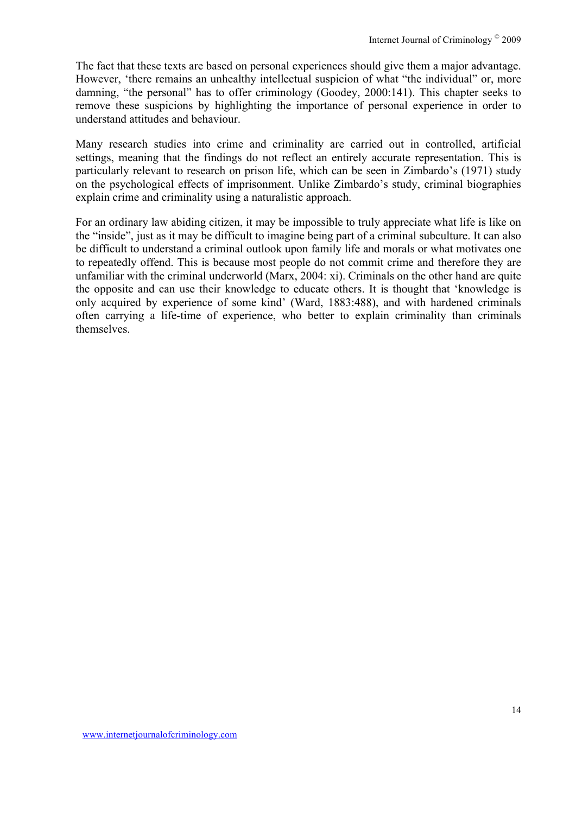The fact that these texts are based on personal experiences should give them a major advantage. However, 'there remains an unhealthy intellectual suspicion of what "the individual" or, more damning, "the personal" has to offer criminology (Goodey, 2000:141). This chapter seeks to remove these suspicions by highlighting the importance of personal experience in order to understand attitudes and behaviour.

Many research studies into crime and criminality are carried out in controlled, artificial settings, meaning that the findings do not reflect an entirely accurate representation. This is particularly relevant to research on prison life, which can be seen in Zimbardo's (1971) study on the psychological effects of imprisonment. Unlike Zimbardo's study, criminal biographies explain crime and criminality using a naturalistic approach.

For an ordinary law abiding citizen, it may be impossible to truly appreciate what life is like on the "inside", just as it may be difficult to imagine being part of a criminal subculture. It can also be difficult to understand a criminal outlook upon family life and morals or what motivates one to repeatedly offend. This is because most people do not commit crime and therefore they are unfamiliar with the criminal underworld (Marx, 2004: xi). Criminals on the other hand are quite the opposite and can use their knowledge to educate others. It is thought that 'knowledge is only acquired by experience of some kind' (Ward, 1883:488), and with hardened criminals often carrying a life-time of experience, who better to explain criminality than criminals themselves.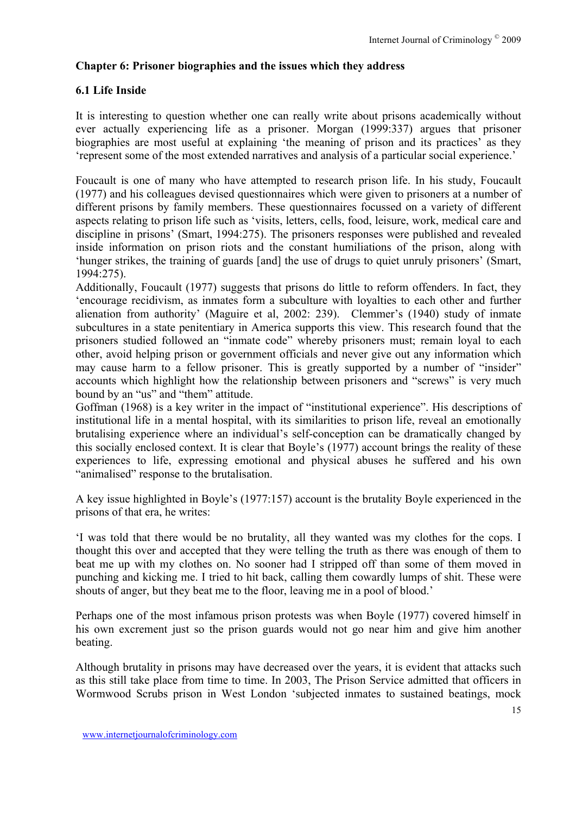## **Chapter 6: Prisoner biographies and the issues which they address**

## **6.1 Life Inside**

It is interesting to question whether one can really write about prisons academically without ever actually experiencing life as a prisoner. Morgan (1999:337) argues that prisoner biographies are most useful at explaining 'the meaning of prison and its practices' as they 'represent some of the most extended narratives and analysis of a particular social experience.'

Foucault is one of many who have attempted to research prison life. In his study, Foucault (1977) and his colleagues devised questionnaires which were given to prisoners at a number of different prisons by family members. These questionnaires focussed on a variety of different aspects relating to prison life such as 'visits, letters, cells, food, leisure, work, medical care and discipline in prisons' (Smart, 1994:275). The prisoners responses were published and revealed inside information on prison riots and the constant humiliations of the prison, along with 'hunger strikes, the training of guards [and] the use of drugs to quiet unruly prisoners' (Smart, 1994:275).

Additionally, Foucault (1977) suggests that prisons do little to reform offenders. In fact, they 'encourage recidivism, as inmates form a subculture with loyalties to each other and further alienation from authority' (Maguire et al, 2002: 239). Clemmer's (1940) study of inmate subcultures in a state penitentiary in America supports this view. This research found that the prisoners studied followed an "inmate code" whereby prisoners must; remain loyal to each other, avoid helping prison or government officials and never give out any information which may cause harm to a fellow prisoner. This is greatly supported by a number of "insider" accounts which highlight how the relationship between prisoners and "screws" is very much bound by an "us" and "them" attitude.

Goffman (1968) is a key writer in the impact of "institutional experience". His descriptions of institutional life in a mental hospital, with its similarities to prison life, reveal an emotionally brutalising experience where an individual's self-conception can be dramatically changed by this socially enclosed context. It is clear that Boyle's (1977) account brings the reality of these experiences to life, expressing emotional and physical abuses he suffered and his own "animalised" response to the brutalisation.

A key issue highlighted in Boyle's (1977:157) account is the brutality Boyle experienced in the prisons of that era, he writes:

'I was told that there would be no brutality, all they wanted was my clothes for the cops. I thought this over and accepted that they were telling the truth as there was enough of them to beat me up with my clothes on. No sooner had I stripped off than some of them moved in punching and kicking me. I tried to hit back, calling them cowardly lumps of shit. These were shouts of anger, but they beat me to the floor, leaving me in a pool of blood.'

Perhaps one of the most infamous prison protests was when Boyle (1977) covered himself in his own excrement just so the prison guards would not go near him and give him another beating.

Although brutality in prisons may have decreased over the years, it is evident that attacks such as this still take place from time to time. In 2003, The Prison Service admitted that officers in Wormwood Scrubs prison in West London 'subjected inmates to sustained beatings, mock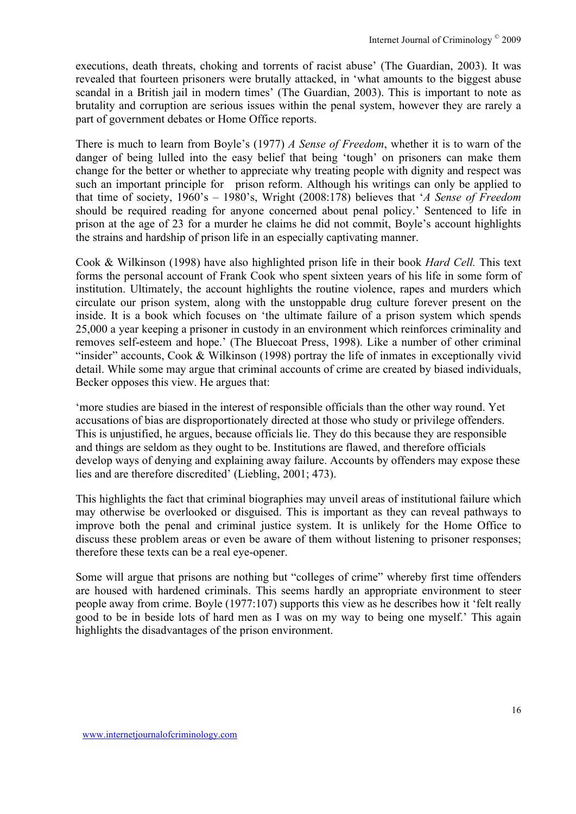executions, death threats, choking and torrents of racist abuse' (The Guardian, 2003). It was revealed that fourteen prisoners were brutally attacked, in 'what amounts to the biggest abuse scandal in a British jail in modern times' (The Guardian, 2003). This is important to note as brutality and corruption are serious issues within the penal system, however they are rarely a part of government debates or Home Office reports.

There is much to learn from Boyle's (1977) *A Sense of Freedom*, whether it is to warn of the danger of being lulled into the easy belief that being 'tough' on prisoners can make them change for the better or whether to appreciate why treating people with dignity and respect was such an important principle for prison reform. Although his writings can only be applied to that time of society, 1960's – 1980's, Wright (2008:178) believes that '*A Sense of Freedom*  should be required reading for anyone concerned about penal policy.' Sentenced to life in prison at the age of 23 for a murder he claims he did not commit, Boyle's account highlights the strains and hardship of prison life in an especially captivating manner.

Cook & Wilkinson (1998) have also highlighted prison life in their book *Hard Cell.* This text forms the personal account of Frank Cook who spent sixteen years of his life in some form of institution. Ultimately, the account highlights the routine violence, rapes and murders which circulate our prison system, along with the unstoppable drug culture forever present on the inside. It is a book which focuses on 'the ultimate failure of a prison system which spends 25,000 a year keeping a prisoner in custody in an environment which reinforces criminality and removes self-esteem and hope.' (The Bluecoat Press, 1998). Like a number of other criminal "insider" accounts, Cook & Wilkinson (1998) portray the life of inmates in exceptionally vivid detail. While some may argue that criminal accounts of crime are created by biased individuals, Becker opposes this view. He argues that:

'more studies are biased in the interest of responsible officials than the other way round. Yet accusations of bias are disproportionately directed at those who study or privilege offenders. This is unjustified, he argues, because officials lie. They do this because they are responsible and things are seldom as they ought to be. Institutions are flawed, and therefore officials develop ways of denying and explaining away failure. Accounts by offenders may expose these lies and are therefore discredited' (Liebling, 2001; 473).

This highlights the fact that criminal biographies may unveil areas of institutional failure which may otherwise be overlooked or disguised. This is important as they can reveal pathways to improve both the penal and criminal justice system. It is unlikely for the Home Office to discuss these problem areas or even be aware of them without listening to prisoner responses; therefore these texts can be a real eye-opener.

Some will argue that prisons are nothing but "colleges of crime" whereby first time offenders are housed with hardened criminals. This seems hardly an appropriate environment to steer people away from crime. Boyle (1977:107) supports this view as he describes how it 'felt really good to be in beside lots of hard men as I was on my way to being one myself.' This again highlights the disadvantages of the prison environment.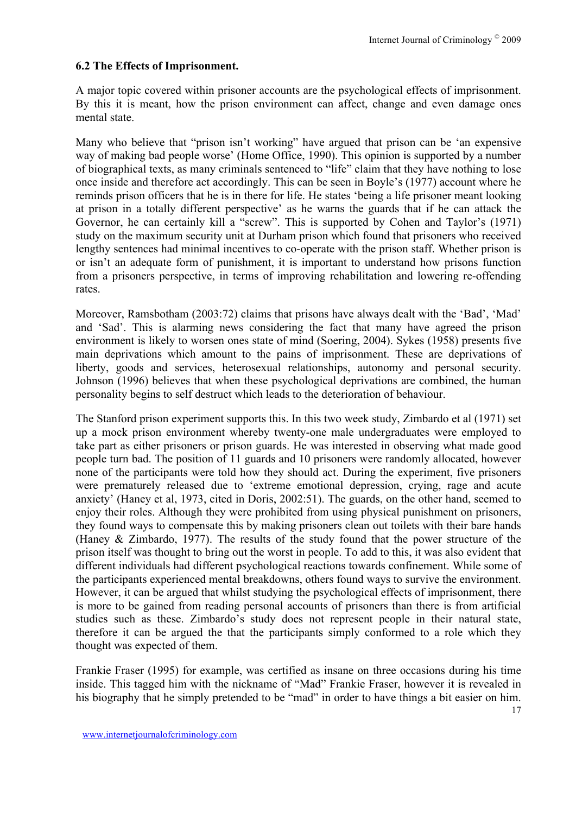#### **6.2 The Effects of Imprisonment.**

A major topic covered within prisoner accounts are the psychological effects of imprisonment. By this it is meant, how the prison environment can affect, change and even damage ones mental state.

Many who believe that "prison isn't working" have argued that prison can be 'an expensive way of making bad people worse' (Home Office, 1990). This opinion is supported by a number of biographical texts, as many criminals sentenced to "life" claim that they have nothing to lose once inside and therefore act accordingly. This can be seen in Boyle's (1977) account where he reminds prison officers that he is in there for life. He states 'being a life prisoner meant looking at prison in a totally different perspective' as he warns the guards that if he can attack the Governor, he can certainly kill a "screw". This is supported by Cohen and Taylor's (1971) study on the maximum security unit at Durham prison which found that prisoners who received lengthy sentences had minimal incentives to co-operate with the prison staff. Whether prison is or isn't an adequate form of punishment, it is important to understand how prisons function from a prisoners perspective, in terms of improving rehabilitation and lowering re-offending rates.

Moreover, Ramsbotham (2003:72) claims that prisons have always dealt with the 'Bad', 'Mad' and 'Sad'. This is alarming news considering the fact that many have agreed the prison environment is likely to worsen ones state of mind (Soering, 2004). Sykes (1958) presents five main deprivations which amount to the pains of imprisonment. These are deprivations of liberty, goods and services, heterosexual relationships, autonomy and personal security. Johnson (1996) believes that when these psychological deprivations are combined, the human personality begins to self destruct which leads to the deterioration of behaviour.

The Stanford prison experiment supports this. In this two week study, Zimbardo et al (1971) set up a mock prison environment whereby twenty-one male undergraduates were employed to take part as either prisoners or prison guards. He was interested in observing what made good people turn bad. The position of 11 guards and 10 prisoners were randomly allocated, however none of the participants were told how they should act. During the experiment, five prisoners were prematurely released due to 'extreme emotional depression, crying, rage and acute anxiety' (Haney et al, 1973, cited in Doris, 2002:51). The guards, on the other hand, seemed to enjoy their roles. Although they were prohibited from using physical punishment on prisoners, they found ways to compensate this by making prisoners clean out toilets with their bare hands (Haney & Zimbardo, 1977). The results of the study found that the power structure of the prison itself was thought to bring out the worst in people. To add to this, it was also evident that different individuals had different psychological reactions towards confinement. While some of the participants experienced mental breakdowns, others found ways to survive the environment. However, it can be argued that whilst studying the psychological effects of imprisonment, there is more to be gained from reading personal accounts of prisoners than there is from artificial studies such as these. Zimbardo's study does not represent people in their natural state, therefore it can be argued the that the participants simply conformed to a role which they thought was expected of them.

Frankie Fraser (1995) for example, was certified as insane on three occasions during his time inside. This tagged him with the nickname of "Mad" Frankie Fraser, however it is revealed in his biography that he simply pretended to be "mad" in order to have things a bit easier on him.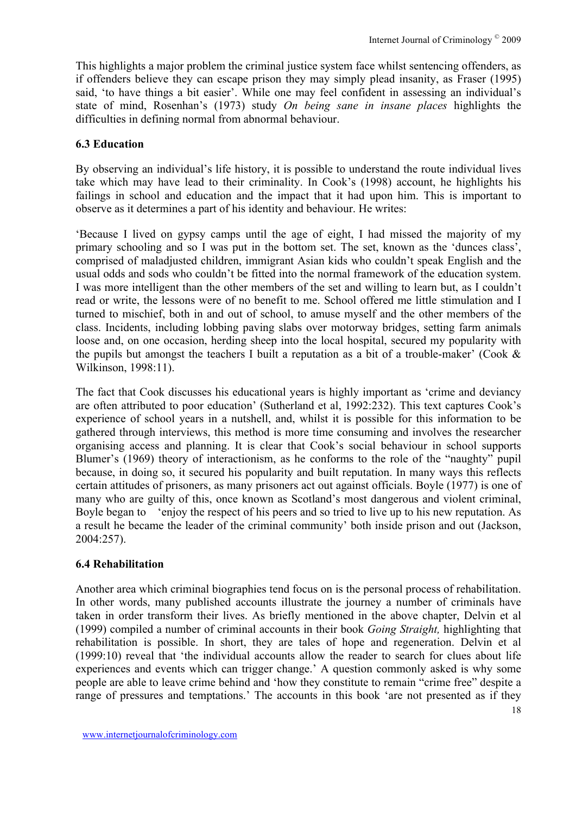This highlights a major problem the criminal justice system face whilst sentencing offenders, as if offenders believe they can escape prison they may simply plead insanity, as Fraser (1995) said, 'to have things a bit easier'. While one may feel confident in assessing an individual's state of mind, Rosenhan's (1973) study *On being sane in insane places* highlights the difficulties in defining normal from abnormal behaviour.

### **6.3 Education**

By observing an individual's life history, it is possible to understand the route individual lives take which may have lead to their criminality. In Cook's (1998) account, he highlights his failings in school and education and the impact that it had upon him. This is important to observe as it determines a part of his identity and behaviour. He writes:

'Because I lived on gypsy camps until the age of eight, I had missed the majority of my primary schooling and so I was put in the bottom set. The set, known as the 'dunces class', comprised of maladjusted children, immigrant Asian kids who couldn't speak English and the usual odds and sods who couldn't be fitted into the normal framework of the education system. I was more intelligent than the other members of the set and willing to learn but, as I couldn't read or write, the lessons were of no benefit to me. School offered me little stimulation and I turned to mischief, both in and out of school, to amuse myself and the other members of the class. Incidents, including lobbing paving slabs over motorway bridges, setting farm animals loose and, on one occasion, herding sheep into the local hospital, secured my popularity with the pupils but amongst the teachers I built a reputation as a bit of a trouble-maker' (Cook  $\&$ Wilkinson, 1998:11).

The fact that Cook discusses his educational years is highly important as 'crime and deviancy are often attributed to poor education' (Sutherland et al, 1992:232). This text captures Cook's experience of school years in a nutshell, and, whilst it is possible for this information to be gathered through interviews, this method is more time consuming and involves the researcher organising access and planning. It is clear that Cook's social behaviour in school supports Blumer's (1969) theory of interactionism, as he conforms to the role of the "naughty" pupil because, in doing so, it secured his popularity and built reputation. In many ways this reflects certain attitudes of prisoners, as many prisoners act out against officials. Boyle (1977) is one of many who are guilty of this, once known as Scotland's most dangerous and violent criminal, Boyle began to 'enjoy the respect of his peers and so tried to live up to his new reputation. As a result he became the leader of the criminal community' both inside prison and out (Jackson, 2004:257).

#### **6.4 Rehabilitation**

Another area which criminal biographies tend focus on is the personal process of rehabilitation. In other words, many published accounts illustrate the journey a number of criminals have taken in order transform their lives. As briefly mentioned in the above chapter, Delvin et al (1999) compiled a number of criminal accounts in their book *Going Straight,* highlighting that rehabilitation is possible. In short, they are tales of hope and regeneration. Delvin et al (1999:10) reveal that 'the individual accounts allow the reader to search for clues about life experiences and events which can trigger change.' A question commonly asked is why some people are able to leave crime behind and 'how they constitute to remain "crime free" despite a range of pressures and temptations.' The accounts in this book 'are not presented as if they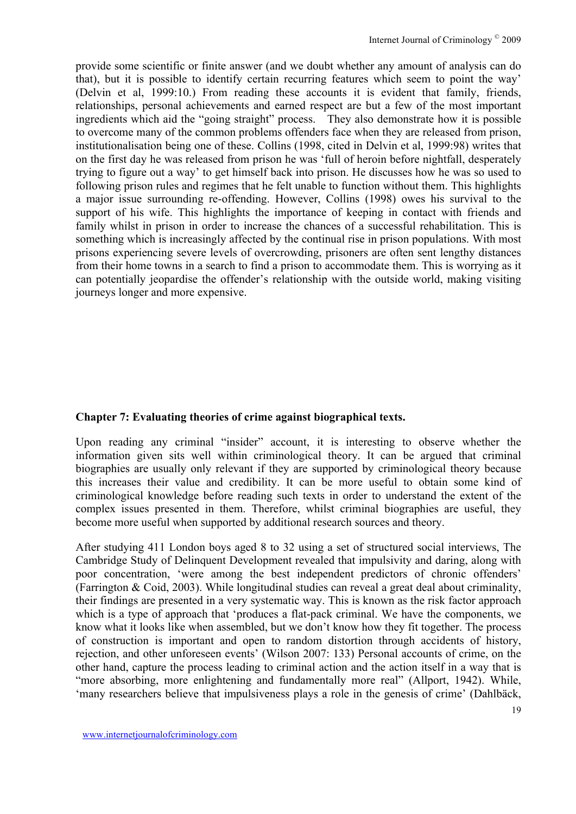provide some scientific or finite answer (and we doubt whether any amount of analysis can do that), but it is possible to identify certain recurring features which seem to point the way' (Delvin et al, 1999:10.) From reading these accounts it is evident that family, friends, relationships, personal achievements and earned respect are but a few of the most important ingredients which aid the "going straight" process. They also demonstrate how it is possible to overcome many of the common problems offenders face when they are released from prison, institutionalisation being one of these. Collins (1998, cited in Delvin et al, 1999:98) writes that on the first day he was released from prison he was 'full of heroin before nightfall, desperately trying to figure out a way' to get himself back into prison. He discusses how he was so used to following prison rules and regimes that he felt unable to function without them. This highlights a major issue surrounding re-offending. However, Collins (1998) owes his survival to the support of his wife. This highlights the importance of keeping in contact with friends and family whilst in prison in order to increase the chances of a successful rehabilitation. This is something which is increasingly affected by the continual rise in prison populations. With most prisons experiencing severe levels of overcrowding, prisoners are often sent lengthy distances from their home towns in a search to find a prison to accommodate them. This is worrying as it can potentially jeopardise the offender's relationship with the outside world, making visiting journeys longer and more expensive.

### **Chapter 7: Evaluating theories of crime against biographical texts.**

Upon reading any criminal "insider" account, it is interesting to observe whether the information given sits well within criminological theory. It can be argued that criminal biographies are usually only relevant if they are supported by criminological theory because this increases their value and credibility. It can be more useful to obtain some kind of criminological knowledge before reading such texts in order to understand the extent of the complex issues presented in them. Therefore, whilst criminal biographies are useful, they become more useful when supported by additional research sources and theory.

After studying 411 London boys aged 8 to 32 using a set of structured social interviews, The Cambridge Study of Delinquent Development revealed that impulsivity and daring, along with poor concentration, 'were among the best independent predictors of chronic offenders' (Farrington & Coid, 2003). While longitudinal studies can reveal a great deal about criminality, their findings are presented in a very systematic way. This is known as the risk factor approach which is a type of approach that 'produces a flat-pack criminal. We have the components, we know what it looks like when assembled, but we don't know how they fit together. The process of construction is important and open to random distortion through accidents of history, rejection, and other unforeseen events' (Wilson 2007: 133) Personal accounts of crime, on the other hand, capture the process leading to criminal action and the action itself in a way that is "more absorbing, more enlightening and fundamentally more real" (Allport, 1942). While, 'many researchers believe that impulsiveness plays a role in the genesis of crime' (Dahlbäck,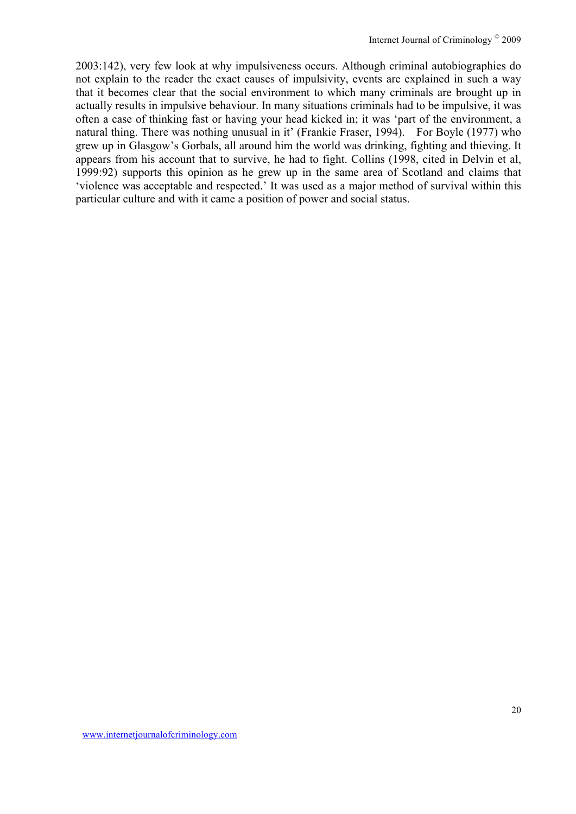2003:142), very few look at why impulsiveness occurs. Although criminal autobiographies do not explain to the reader the exact causes of impulsivity, events are explained in such a way that it becomes clear that the social environment to which many criminals are brought up in actually results in impulsive behaviour. In many situations criminals had to be impulsive, it was often a case of thinking fast or having your head kicked in; it was 'part of the environment, a natural thing. There was nothing unusual in it' (Frankie Fraser, 1994). For Boyle (1977) who grew up in Glasgow's Gorbals, all around him the world was drinking, fighting and thieving. It appears from his account that to survive, he had to fight. Collins (1998, cited in Delvin et al, 1999:92) supports this opinion as he grew up in the same area of Scotland and claims that 'violence was acceptable and respected.' It was used as a major method of survival within this particular culture and with it came a position of power and social status.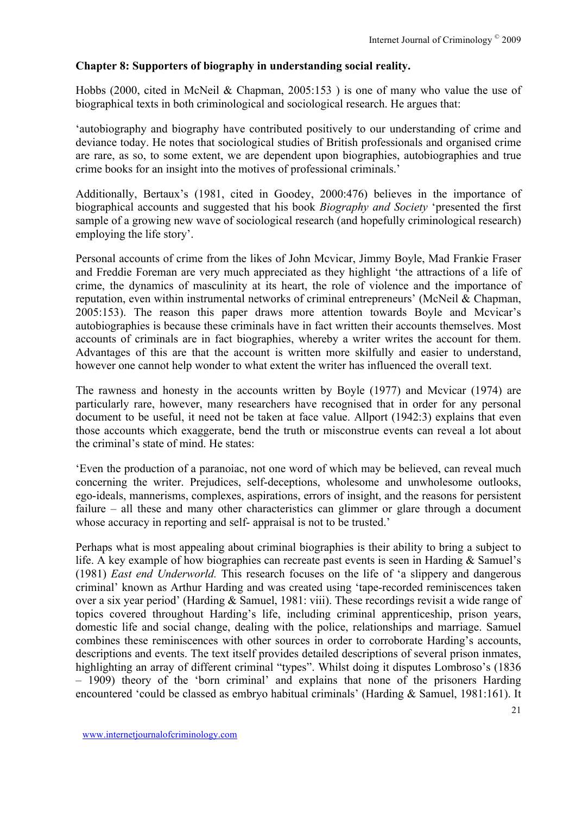#### **Chapter 8: Supporters of biography in understanding social reality.**

Hobbs (2000, cited in McNeil & Chapman, 2005:153 ) is one of many who value the use of biographical texts in both criminological and sociological research. He argues that:

'autobiography and biography have contributed positively to our understanding of crime and deviance today. He notes that sociological studies of British professionals and organised crime are rare, as so, to some extent, we are dependent upon biographies, autobiographies and true crime books for an insight into the motives of professional criminals.'

Additionally, Bertaux's (1981, cited in Goodey, 2000:476) believes in the importance of biographical accounts and suggested that his book *Biography and Society* 'presented the first sample of a growing new wave of sociological research (and hopefully criminological research) employing the life story'.

Personal accounts of crime from the likes of John Mcvicar, Jimmy Boyle, Mad Frankie Fraser and Freddie Foreman are very much appreciated as they highlight 'the attractions of a life of crime, the dynamics of masculinity at its heart, the role of violence and the importance of reputation, even within instrumental networks of criminal entrepreneurs' (McNeil & Chapman, 2005:153). The reason this paper draws more attention towards Boyle and Mcvicar's autobiographies is because these criminals have in fact written their accounts themselves. Most accounts of criminals are in fact biographies, whereby a writer writes the account for them. Advantages of this are that the account is written more skilfully and easier to understand, however one cannot help wonder to what extent the writer has influenced the overall text.

The rawness and honesty in the accounts written by Boyle (1977) and Mcvicar (1974) are particularly rare, however, many researchers have recognised that in order for any personal document to be useful, it need not be taken at face value. Allport (1942:3) explains that even those accounts which exaggerate, bend the truth or misconstrue events can reveal a lot about the criminal's state of mind. He states:

'Even the production of a paranoiac, not one word of which may be believed, can reveal much concerning the writer. Prejudices, self-deceptions, wholesome and unwholesome outlooks, ego-ideals, mannerisms, complexes, aspirations, errors of insight, and the reasons for persistent failure – all these and many other characteristics can glimmer or glare through a document whose accuracy in reporting and self- appraisal is not to be trusted.'

Perhaps what is most appealing about criminal biographies is their ability to bring a subject to life. A key example of how biographies can recreate past events is seen in Harding & Samuel's (1981) *East end Underworld.* This research focuses on the life of 'a slippery and dangerous criminal' known as Arthur Harding and was created using 'tape-recorded reminiscences taken over a six year period' (Harding & Samuel, 1981: viii). These recordings revisit a wide range of topics covered throughout Harding's life, including criminal apprenticeship, prison years, domestic life and social change, dealing with the police, relationships and marriage. Samuel combines these reminiscences with other sources in order to corroborate Harding's accounts, descriptions and events. The text itself provides detailed descriptions of several prison inmates, highlighting an array of different criminal "types". Whilst doing it disputes Lombroso's (1836) – 1909) theory of the 'born criminal' and explains that none of the prisoners Harding encountered 'could be classed as embryo habitual criminals' (Harding & Samuel, 1981:161). It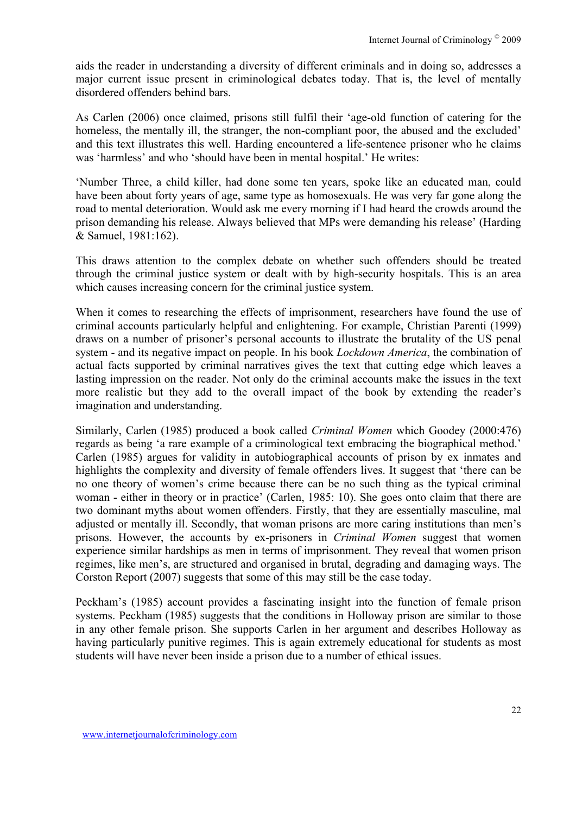aids the reader in understanding a diversity of different criminals and in doing so, addresses a major current issue present in criminological debates today. That is, the level of mentally disordered offenders behind bars.

As Carlen (2006) once claimed, prisons still fulfil their 'age-old function of catering for the homeless, the mentally ill, the stranger, the non-compliant poor, the abused and the excluded' and this text illustrates this well. Harding encountered a life-sentence prisoner who he claims was 'harmless' and who 'should have been in mental hospital.' He writes:

'Number Three, a child killer, had done some ten years, spoke like an educated man, could have been about forty years of age, same type as homosexuals. He was very far gone along the road to mental deterioration. Would ask me every morning if I had heard the crowds around the prison demanding his release. Always believed that MPs were demanding his release' (Harding & Samuel, 1981:162).

This draws attention to the complex debate on whether such offenders should be treated through the criminal justice system or dealt with by high-security hospitals. This is an area which causes increasing concern for the criminal justice system.

When it comes to researching the effects of imprisonment, researchers have found the use of criminal accounts particularly helpful and enlightening. For example, Christian Parenti (1999) draws on a number of prisoner's personal accounts to illustrate the brutality of the US penal system - and its negative impact on people. In his book *Lockdown America*, the combination of actual facts supported by criminal narratives gives the text that cutting edge which leaves a lasting impression on the reader. Not only do the criminal accounts make the issues in the text more realistic but they add to the overall impact of the book by extending the reader's imagination and understanding.

Similarly, Carlen (1985) produced a book called *Criminal Women* which Goodey (2000:476) regards as being 'a rare example of a criminological text embracing the biographical method.' Carlen (1985) argues for validity in autobiographical accounts of prison by ex inmates and highlights the complexity and diversity of female offenders lives. It suggest that 'there can be no one theory of women's crime because there can be no such thing as the typical criminal woman - either in theory or in practice' (Carlen, 1985: 10). She goes onto claim that there are two dominant myths about women offenders. Firstly, that they are essentially masculine, mal adjusted or mentally ill. Secondly, that woman prisons are more caring institutions than men's prisons. However, the accounts by ex-prisoners in *Criminal Women* suggest that women experience similar hardships as men in terms of imprisonment. They reveal that women prison regimes, like men's, are structured and organised in brutal, degrading and damaging ways. The Corston Report (2007) suggests that some of this may still be the case today.

Peckham's (1985) account provides a fascinating insight into the function of female prison systems. Peckham (1985) suggests that the conditions in Holloway prison are similar to those in any other female prison. She supports Carlen in her argument and describes Holloway as having particularly punitive regimes. This is again extremely educational for students as most students will have never been inside a prison due to a number of ethical issues.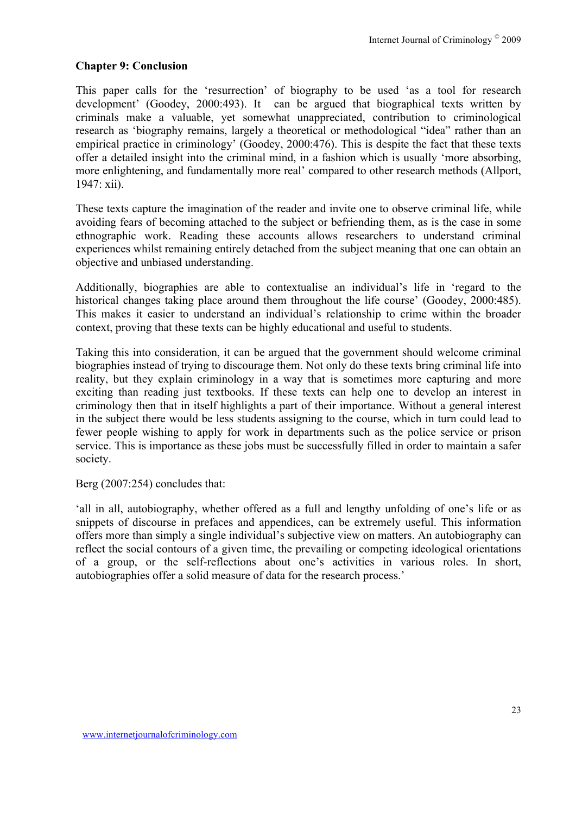## **Chapter 9: Conclusion**

This paper calls for the 'resurrection' of biography to be used 'as a tool for research development' (Goodey, 2000:493). It can be argued that biographical texts written by criminals make a valuable, yet somewhat unappreciated, contribution to criminological research as 'biography remains, largely a theoretical or methodological "idea" rather than an empirical practice in criminology' (Goodey, 2000:476). This is despite the fact that these texts offer a detailed insight into the criminal mind, in a fashion which is usually 'more absorbing, more enlightening, and fundamentally more real' compared to other research methods (Allport, 1947: xii).

These texts capture the imagination of the reader and invite one to observe criminal life, while avoiding fears of becoming attached to the subject or befriending them, as is the case in some ethnographic work. Reading these accounts allows researchers to understand criminal experiences whilst remaining entirely detached from the subject meaning that one can obtain an objective and unbiased understanding.

Additionally, biographies are able to contextualise an individual's life in 'regard to the historical changes taking place around them throughout the life course' (Goodey, 2000:485). This makes it easier to understand an individual's relationship to crime within the broader context, proving that these texts can be highly educational and useful to students.

Taking this into consideration, it can be argued that the government should welcome criminal biographies instead of trying to discourage them. Not only do these texts bring criminal life into reality, but they explain criminology in a way that is sometimes more capturing and more exciting than reading just textbooks. If these texts can help one to develop an interest in criminology then that in itself highlights a part of their importance. Without a general interest in the subject there would be less students assigning to the course, which in turn could lead to fewer people wishing to apply for work in departments such as the police service or prison service. This is importance as these jobs must be successfully filled in order to maintain a safer society.

Berg (2007:254) concludes that:

'all in all, autobiography, whether offered as a full and lengthy unfolding of one's life or as snippets of discourse in prefaces and appendices, can be extremely useful. This information offers more than simply a single individual's subjective view on matters. An autobiography can reflect the social contours of a given time, the prevailing or competing ideological orientations of a group, or the self-reflections about one's activities in various roles. In short, autobiographies offer a solid measure of data for the research process.'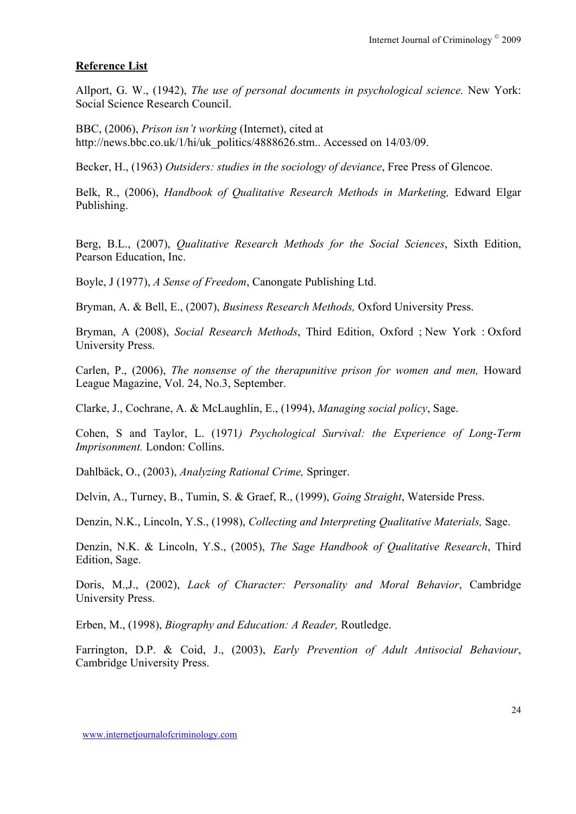#### **Reference List**

Allport, G. W., (1942), *The use of personal documents in psychological science.* New York: Social Science Research Council.

BBC, (2006), *Prison isn't working* (Internet), cited at http://news.bbc.co.uk/1/hi/uk\_politics/4888626.stm.. Accessed on 14/03/09.

Becker, H., (1963) *Outsiders: studies in the sociology of deviance*, Free Press of Glencoe.

Belk, R., (2006), *Handbook of Qualitative Research Methods in Marketing,* Edward Elgar Publishing.

Berg, B.L., (2007), *Qualitative Research Methods for the Social Sciences*, Sixth Edition, Pearson Education, Inc.

Boyle, J (1977), *A Sense of Freedom*, Canongate Publishing Ltd.

Bryman, A. & Bell, E., (2007), *Business Research Methods,* Oxford University Press.

Bryman, A (2008), *Social Research Methods*, Third Edition, Oxford ; New York : Oxford University Press.

Carlen, P., (2006), *The nonsense of the therapunitive prison for women and men,* Howard League Magazine, Vol. 24, No.3, September.

Clarke, J., Cochrane, A. & McLaughlin, E., (1994), *Managing social policy*, Sage.

Cohen, S and Taylor, L. (1971*) Psychological Survival: the Experience of Long-Term Imprisonment.* London: Collins.

Dahlbäck, O., (2003), *Analyzing Rational Crime,* Springer.

Delvin, A., Turney, B., Tumin, S. & Graef, R., (1999), *Going Straight*, Waterside Press.

Denzin, N.K., Lincoln, Y.S., (1998), *Collecting and Interpreting Qualitative Materials,* Sage.

Denzin, N.K. & Lincoln, Y.S., (2005), *The Sage Handbook of Qualitative Research*, Third Edition, Sage.

Doris, M.,J., (2002), *Lack of Character: Personality and Moral Behavior*, Cambridge University Press.

Erben, M., (1998), *Biography and Education: A Reader,* Routledge.

Farrington, D.P. & Coid, J., (2003), *Early Prevention of Adult Antisocial Behaviour*, Cambridge University Press.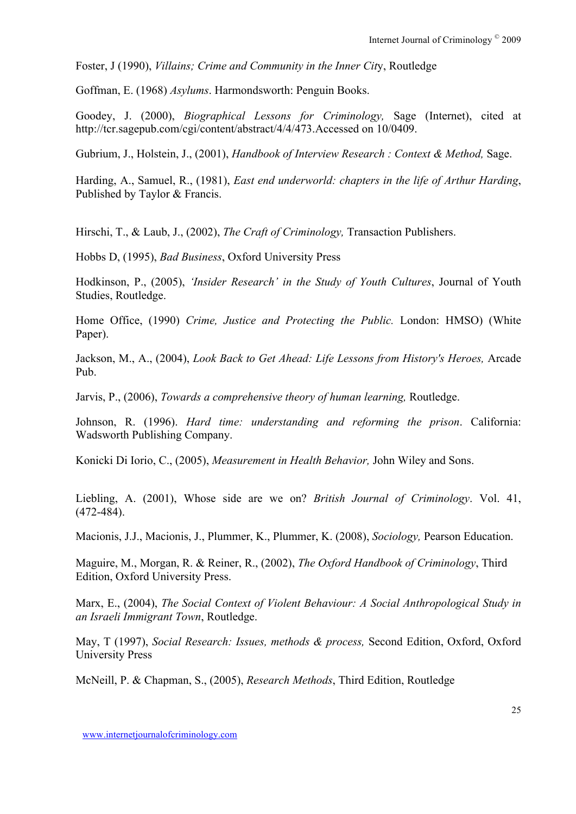Foster, J (1990), *Villains; Crime and Community in the Inner Cit*y, Routledge

Goffman, E. (1968) *Asylums*. Harmondsworth: Penguin Books.

Goodey, J. (2000), *Biographical Lessons for Criminology,* Sage (Internet), cited at http://tcr.sagepub.com/cgi/content/abstract/4/4/473.Accessed on 10/0409.

Gubrium, J., Holstein, J., (2001), *Handbook of Interview Research : Context & Method,* Sage.

Harding, A., Samuel, R., (1981), *East end underworld: chapters in the life of Arthur Harding*, Published by Taylor & Francis.

Hirschi, T., & Laub, J., (2002), *The Craft of Criminology,* Transaction Publishers.

Hobbs D, (1995), *Bad Business*, Oxford University Press

Hodkinson, P., (2005), *'Insider Research' in the Study of Youth Cultures*, Journal of Youth Studies, Routledge.

Home Office, (1990) *Crime, Justice and Protecting the Public.* London: HMSO) (White Paper).

Jackson, M., A., (2004), *Look Back to Get Ahead: Life Lessons from History's Heroes,* Arcade Pub.

Jarvis, P., (2006), *Towards a comprehensive theory of human learning,* Routledge.

Johnson, R. (1996). *Hard time: understanding and reforming the prison*. California: Wadsworth Publishing Company.

Konicki Di Iorio, C., (2005), *Measurement in Health Behavior,* John Wiley and Sons.

Liebling, A. (2001), Whose side are we on? *British Journal of Criminology*. Vol. 41, (472-484).

Macionis, J.J., Macionis, J., Plummer, K., Plummer, K. (2008), *Sociology,* Pearson Education.

Maguire, M., Morgan, R. & Reiner, R., (2002), *The Oxford Handbook of Criminology*, Third Edition, Oxford University Press.

Marx, E., (2004), *The Social Context of Violent Behaviour: A Social Anthropological Study in an Israeli Immigrant Town*, Routledge.

May, T (1997), *Social Research: Issues, methods & process,* Second Edition, Oxford, Oxford University Press

McNeill, P. & Chapman, S., (2005), *Research Methods*, Third Edition, Routledge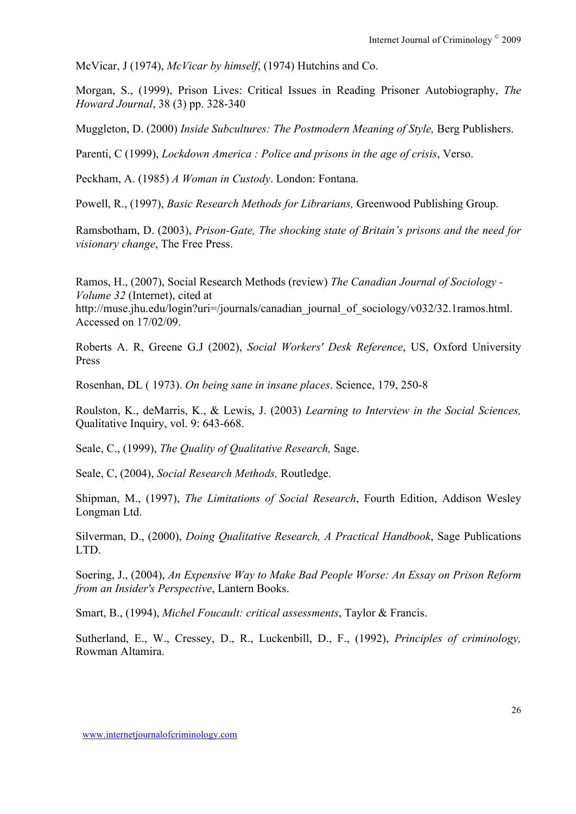McVicar, J (1974), *McVicar by himself*, (1974) Hutchins and Co.

Morgan, S., (1999), Prison Lives: Critical Issues in Reading Prisoner Autobiography, *The Howard Journal*, 38 (3) pp. 328-340

Muggleton, D. (2000) *Inside Subcultures: The Postmodern Meaning of Style*, Berg Publishers.

Parenti, C (1999), *Lockdown America : Police and prisons in the age of crisis*, Verso.

Peckham, A. (1985) *A Woman in Custody*. London: Fontana.

Powell, R., (1997), *Basic Research Methods for Librarians,* Greenwood Publishing Group.

Ramsbotham, D. (2003), *Prison-Gate, The shocking state of Britain's prisons and the need for visionary change*, The Free Press.

Ramos, H., (2007), Social Research Methods (review) *The Canadian Journal of Sociology - Volume 32* (Internet), cited at http://muse.jhu.edu/login?uri=/journals/canadian\_journal\_of\_sociology/v032/32.1ramos.html. Accessed on 17/02/09.

Roberts A. R, Greene G.J (2002), *Social Workers' Desk Reference*, US, Oxford University Press

Rosenhan, DL ( 1973). *On being sane in insane places*. Science, 179, 250-8

Roulston, K., deMarris, K., & Lewis, J. (2003) *Learning to Interview in the Social Sciences,* Qualitative Inquiry, vol. 9: 643-668.

Seale, C., (1999), *The Quality of Qualitative Research,* Sage.

Seale, C, (2004), *Social Research Methods,* Routledge.

Shipman, M., (1997), *The Limitations of Social Research*, Fourth Edition, Addison Wesley Longman Ltd.

Silverman, D., (2000), *Doing Qualitative Research, A Practical Handbook*, Sage Publications LTD.

Soering, J., (2004), *An Expensive Way to Make Bad People Worse: An Essay on Prison Reform from an Insider's Perspective*, Lantern Books.

Smart, B., (1994), *Michel Foucault: critical assessments*, Taylor & Francis.

Sutherland, E., W., Cressey, D., R., Luckenbill, D., F., (1992), *Principles of criminology,*  Rowman Altamira.